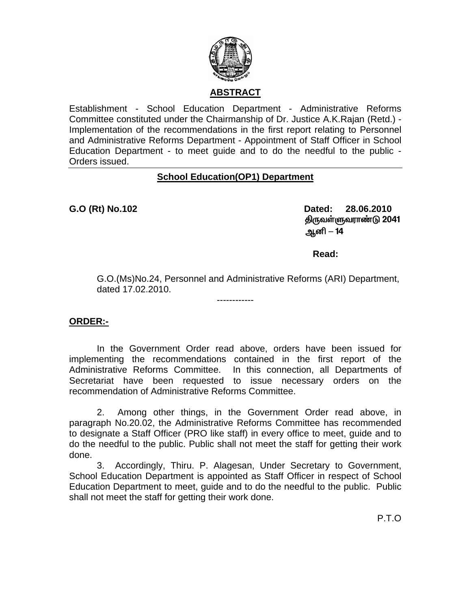

## **ABSTRACT**

Establishment - School Education Department - Administrative Reforms Committee constituted under the Chairmanship of Dr. Justice A.K.Rajan (Retd.) - Implementation of the recommendations in the first report relating to Personnel and Administrative Reforms Department - Appointment of Staff Officer in School Education Department - to meet guide and to do the needful to the public - Orders issued.

## **School Education(OP1) Department**

**G.O (Rt) No.102 Dated: 28.06.2010 திருவள்ளுவராண்டு 2041** Må **–** 14

**Read:**  $\blacksquare$  Read:  $\blacksquare$ 

G.O.(Ms)No.24, Personnel and Administrative Reforms (ARI) Department, dated 17.02.2010.

## **ORDER:-**

 In the Government Order read above, orders have been issued for implementing the recommendations contained in the first report of the Administrative Reforms Committee. In this connection, all Departments of Secretariat have been requested to issue necessary orders on the recommendation of Administrative Reforms Committee.

------------

 2. Among other things, in the Government Order read above, in paragraph No.20.02, the Administrative Reforms Committee has recommended to designate a Staff Officer (PRO like staff) in every office to meet, guide and to do the needful to the public. Public shall not meet the staff for getting their work done.

3. Accordingly, Thiru. P. Alagesan, Under Secretary to Government, School Education Department is appointed as Staff Officer in respect of School Education Department to meet, guide and to do the needful to the public. Public shall not meet the staff for getting their work done.

P.T.O